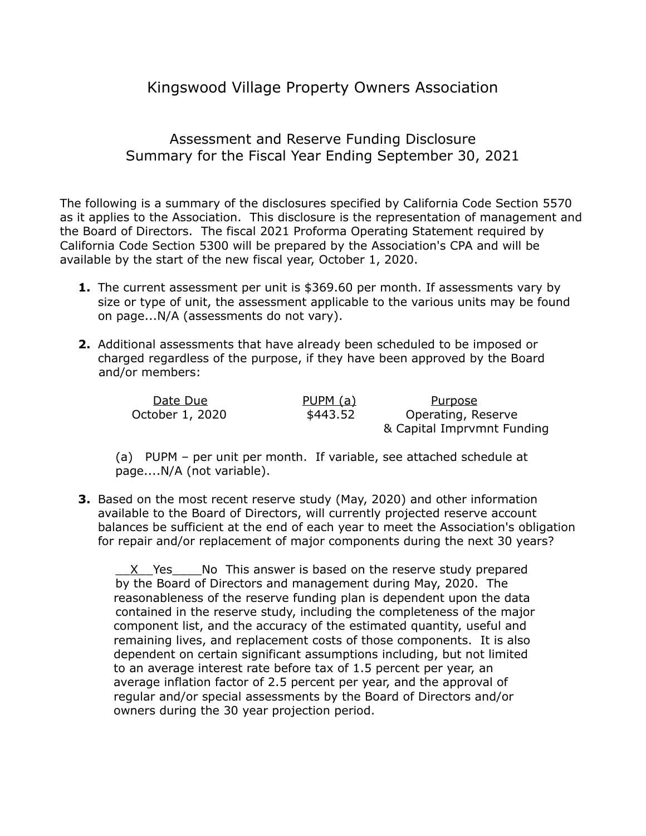## Kingswood Village Property Owners Association

## Assessment and Reserve Funding Disclosure Summary for the Fiscal Year Ending September 30, 2021

The following is a summary of the disclosures specified by California Code Section 5570 as it applies to the Association. This disclosure is the representation of management and the Board of Directors. The fiscal 2021 Proforma Operating Statement required by California Code Section 5300 will be prepared by the Association's CPA and will be available by the start of the new fiscal year, October 1, 2020.

- **1.** The current assessment per unit is \$369.60 per month. If assessments vary by size or type of unit, the assessment applicable to the various units may be found on page...N/A (assessments do not vary).
- **2.** Additional assessments that have already been scheduled to be imposed or charged regardless of the purpose, if they have been approved by the Board and/or members:

| Date Due        | <u>PUPM (a)</u> | Purpose                    |  |
|-----------------|-----------------|----------------------------|--|
| October 1, 2020 | \$443.52        | Operating, Reserve         |  |
|                 |                 | & Capital Imprvmnt Funding |  |

(a) PUPM – per unit per month. If variable, see attached schedule at page....N/A (not variable).

**3.** Based on the most recent reserve study (May, 2020) and other information available to the Board of Directors, will currently projected reserve account balances be sufficient at the end of each year to meet the Association's obligation for repair and/or replacement of major components during the next 30 years?

X Yes No This answer is based on the reserve study prepared by the Board of Directors and management during May, 2020. The reasonableness of the reserve funding plan is dependent upon the data contained in the reserve study, including the completeness of the major component list, and the accuracy of the estimated quantity, useful and remaining lives, and replacement costs of those components. It is also dependent on certain significant assumptions including, but not limited to an average interest rate before tax of 1.5 percent per year, an average inflation factor of 2.5 percent per year, and the approval of regular and/or special assessments by the Board of Directors and/or owners during the 30 year projection period.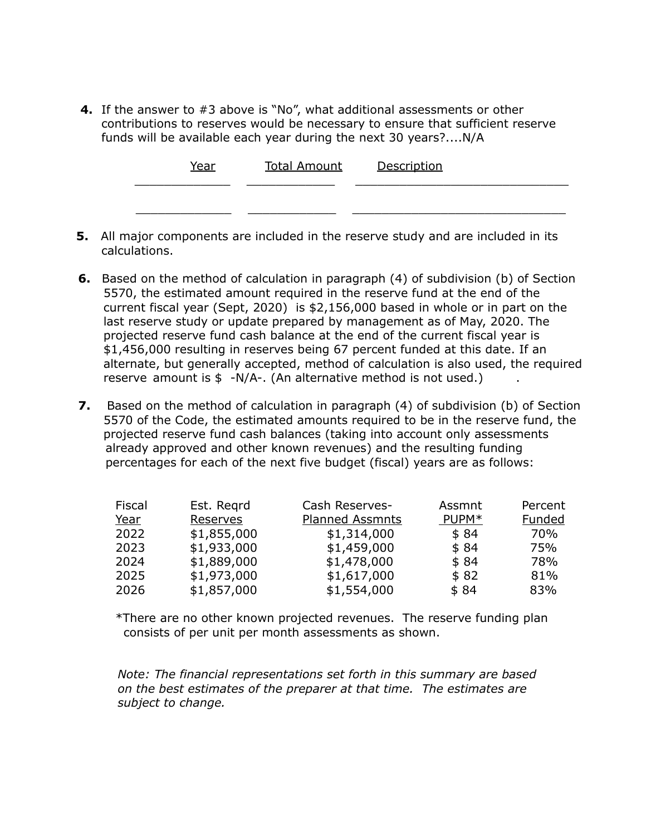**4.** If the answer to #3 above is "No", what additional assessments or other contributions to reserves would be necessary to ensure that sufficient reserve funds will be available each year during the next 30 years?....N/A

| Year | <b>Total Amount</b> | <u>Description</u> |
|------|---------------------|--------------------|
|      |                     |                    |

- **5.** All major components are included in the reserve study and are included in its calculations.
- **6.** Based on the method of calculation in paragraph (4) of subdivision (b) of Section 5570, the estimated amount required in the reserve fund at the end of the current fiscal year (Sept, 2020) is \$2,156,000 based in whole or in part on the last reserve study or update prepared by management as of May, 2020. The projected reserve fund cash balance at the end of the current fiscal year is \$1,456,000 resulting in reserves being 67 percent funded at this date. If an alternate, but generally accepted, method of calculation is also used, the required reserve amount is  $$ -N/A-.$  (An alternative method is not used.)
- **7.** Based on the method of calculation in paragraph (4) of subdivision (b) of Section 5570 of the Code, the estimated amounts required to be in the reserve fund, the projected reserve fund cash balances (taking into account only assessments already approved and other known revenues) and the resulting funding percentages for each of the next five budget (fiscal) years are as follows:

| Fiscal | Est. Regrd  | Cash Reserves-         | Assmnt | Percent       |
|--------|-------------|------------------------|--------|---------------|
| Year   | Reserves    | <b>Planned Assmnts</b> | PUPM*  | <b>Funded</b> |
| 2022   | \$1,855,000 | \$1,314,000            | \$84   | 70%           |
| 2023   | \$1,933,000 | \$1,459,000            | \$84   | 75%           |
| 2024   | \$1,889,000 | \$1,478,000            | \$84   | 78%           |
| 2025   | \$1,973,000 | \$1,617,000            | \$82   | 81%           |
| 2026   | \$1,857,000 | \$1,554,000            | \$84   | 83%           |

\*There are no other known projected revenues. The reserve funding plan consists of per unit per month assessments as shown.

*Note: The financial representations set forth in this summary are based on the best estimates of the preparer at that time. The estimates are subject to change.*